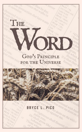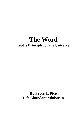# **The Word God's Principle for the Universe**

# **By Bryce L. Pico Life Abundant Ministries**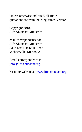Unless otherwise indicated, all Bible quotations are from the King James Version.

Copyright 2018, Life Abundant Ministries

Mail correspondence to: Life Abundant Ministries 4357 East Dansville Road Webberville, MI 48892

Email correspondence to: [info@life-abundant.org](mailto:info@life-abundant.org)

Visit our website at: [www.life-abundant.org](http://www.life-abundant.org/)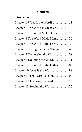# **Contents**

| Chapter 2 The Word Is Creative  12  |
|-------------------------------------|
| Chapter 3 The Word Makes Order  20  |
|                                     |
| Chapter 5 The Word of the Lord  39  |
| Chapter 6 Saying the Same Things 49 |
|                                     |
|                                     |
| Chapter 9 The Word of the Father 80 |
| Chapter 10 Jesus is the Word 89     |
|                                     |
| Chapter 12 The Word Is Seed 113     |
| Chapter 13 Sowing the Word 125      |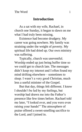# **Introduction**

As a sat with my wife, Rachael, in church one Sunday, it began to dawn on me what I had truly been missing.

Existence had become drudgery. My career was going nowhere. My family was straining under the weight of poverty. My spiritual life had dried up. Our own ministry was suffering.

Typically, church was uneventful. Worship ended up just being buffer time so we could get to church late. The messages didn't keep my interest and I often found my mind drifting elsewhere – sometimes to sleep. I wasn't a very good Christian, much less a useful minister of the Gospel.

But that day, things felt different. I know I shouldn't be led by my feelings, but worship had drawn me into the Father's presence like few times before. Rachael told me later, "I looked over, and you were even raising your hands!" The atmosphere of praise offered a sweet-smelling sacrifice to the Lord, and I joined in.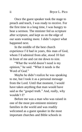Once the guest speaker took the stage to preach and teach, I was ready to receive. For the first time in a long time, I was hungry to hear a sermon. The minister fed us scripture after scripture, and kept us on the edge of our seats wanting more. I didn't expect what happened next.

In the middle of the best church experience I'd had in years, this man of God, whom I'd admired from afar, stood 10 feet in front of me and cut me down to size.

"What the world doesn't need is my opinion," he said. "What it needs is the Word of God."

Maybe he didn't realize he was speaking to me, but I took it as a personal message from the Lord. Until that moment, I would have taken anything that man would have said as the "gospel truth." And, really, why wouldn't I?

Before me was a man who was raised in one of the most pre-eminent ministry families in the world and was readily welcomed as a guest speaker in the most important churches and Bible schools in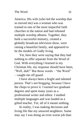America. His wife (who led the worship that so moved me) was a woman who was trained in one of the most impactful faith churches in the nation and had released multiple worship albums. Together, they built a successful ministry, created a globally broadcast television show, were raising a beautiful family, and appeared to be the models of Godly living.

Yet, here they were saying that they had nothing to offer separate from the Word of God. With everything I learned in my Christian life, my response should have been, "Well, duh!" But those words – "the Word" – caught me off guard.

I have always been a bright and talented person. That's not bragging, because I have the chops to prove it. I earned two graduate degrees and spent many years as a professional writer and editor. I studied multiple languages and was lauded as a gifted teacher. Yet, all of it meant nothing.

In reality, I was making decisions and living life like my unsaved neighbors. Some may say I was doing an even worse job than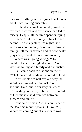they were. After years of trying to act like an adult, I was failing miserably.

All the decisions I had made, based on my own research and experience had led to misery. Despite all the time spent on trying to be successful, I was only falling farther behind. Too many sleepless nights, spent worrying about money or our next move as a family, left me exhausted and in poor health (physically, mentally, and emotionally).

Where was I going wrong? Why couldn't I make the right decisions? Why were we failing as a family and a ministry?

It all came back to that one statement: "What the world needs is the Word of God."

In this book, we will explore why the Word is so important, not just to our spiritual lives, but to our very existence. Responding correctly, in faith, to the Word of God makes the difference between success and failure.

Jesus said of man, "of the abundance of the heart his mouth speaks" (Luke 6:45). What was coming out of my mouth was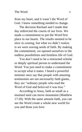from my heart, and it wasn't the Word of God. I knew something needed to change.

The decision Rachael and I made that day redirected the course of our lives. We made a commitment to put the Word first place in our hearts. The results seemed to be slow in coming, but what we didn't realize is we were sowing seeds of faith. By making the commitment, we opened ourselves to the endless possibilities and limitless life of God.

You don't need to be a renowned scholar or deeply spiritual person to understand the Word. You just need to make a commitment to accept what it states. I heard a powerful minister once say that people with amazing testimonies are not necessarily faith giants, they are "ordinary people who read the Word of God and believed it was true."

According to Jesus, faith as small as a mustard seed can move mountains (Matthew 17:20). With the same amount faith, you can see the Word create a whole new world for you and those you love.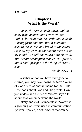# **Chapter 1 What Is the Word?**

<span id="page-12-0"></span>*For as the rain cometh down, and the snow from heaven, and returneth not thither, but watereth the earth, and maketh it bring forth and bud, that it may give seed to the sower, and bread to the eater: So shall my word be that goeth forth out of my mouth: it shall not return unto me void, but it shall accomplish that which I please, and it shall prosper in the thing whereto I sent it.*

*- Isaiah 55:10-11*

Whether or not you have ever gone to church, you may have heard the term "Word of God" used as another name for the Bible – the book about God and His people. How you understand the use of "word" says a lot about how you understand the world.

Likely, most of us understand "word" as a grouping of letters used in communication (written, spoken, or otherwise) that can be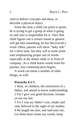used to deliver concepts and ideas, or describe a physical object.

From the time a child can point or grunt, he is trying to get a grasp of what is going on and who is responsible for it. Once that child figures out a certain sound or gesture will get him something, he has discovered a word. Often, parents will allow "baby talk" for a short time, but they will at some point start emphasizing proper use of words – especially at the dinner table or in front of company. As a child learns words from his parents, true communication begins.

A word can mean a number of other things, as well.

#### **Proverbs 4:1-5**

1 Hear, ye children, the instruction of a father, and attend to know understanding. 2 For I give you good doctrine, forsake ye not my law.

3 For I was my father's son, tender and only beloved in the sight of my mother. 4 He taught me also, and said unto me, Let thine heart retain my words: keep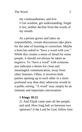my commandments, and live.

5 Get wisdom, get understanding: forget it not; neither decline from the words of my mouth.

As a person grows and takes on responsibility, certain discussions take place for the sake of learning or correction. Maybe a boss has asked to "have a word with you." While this creates a sense of dread for some people, it should not always be taken as negative. To "have a word" with someone just indicates a desire for close and meaningful communication, away from other listeners. Often, it involves both parties opening up to each other in a more profound way than they otherwise would in a public setting. "A word" may simply be an intimate and important conversation.

#### **1 Kings 18:21**

21 And Elijah came unto all the people, and said, How long halt ye between two opinions? if the Lord be God, follow him: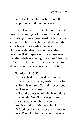but if Baal, then follow him. And the people answered him not a word.

If you have watched a television "news" program featuring politicians or social activists, you may have heard the host allow someone to have "the last word" before the show breaks for an advertisement. Unfortunately, that does not mean the person will stop speaking, but it does mean that the debate is coming to a close. This use of "word" refers to a declaration of fact (or, at least, someone's version of the facts).

# **Galatians 3:13-15**

13 Christ hath redeemed us from the curse of the law, being made a curse for us: for it is written, Cursed is every one that hangeth on a tree:

14 That the blessing of Abraham might come on the Gentiles through Jesus Christ; that we might receive the promise of the Spirit through faith. 15 Brethren, I speak after the manner of men; Though it be but a man's covenant,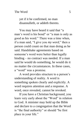yet if it be confirmed, no man disannulleth, or addeth thereto.

You may have heard it said that "a man's word is his bond" or "a man is only as good as his word." There was a time when, if a man said, "I give you *my word*," then a person could count on that man doing as he said. Handshake agreements based on someone's word were better than legally binding – no contract was needed. If a man said he would do something, he would do it no matter the circumstances. In these cases, a "word" was a promise.

A word provides structure to a person's understanding of reality. A word is something spoken clearly and explicitly. A word requires attention and a response. A word, once revealed, cannot be revoked.

If you have a Christian background, you learn very early about the "Word" in relation to God. A minister may hold up the Bible and declare to a congregation that the Word is "the final authority" or should "be first place in your life."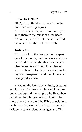#### **Proverbs 4:20-22**

20 My son, attend to my words; incline thine ear unto my sayings.

21 Let them not depart from thine eyes; keep them in the midst of thine heart. 22 For they are life unto those that find them, and health to all their flesh.

#### **Joshua 1:8**

8 This book of the law shall not depart out of thy mouth; but thou shalt meditate therein day and night, that thou mayest observe to do according to all that is written therein: for then thou shalt make thy way prosperous, and then thou shalt have good success.

Knowing the language, culture, customs, and history of a time and place will help us better understand the people who lived then and there. In this case, we can know a lot more about the Bible. The Bible translations we have today were taken from documents written in two ancient languages: the Old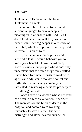Testament in Hebrew and the New Testament in Greek.

You don't have to have to be fluent in ancient languages to have a deep and meaningful relationship with God. But I don't think any of us will fully know our benefits until we dig deeper in our study of the Bible, which was provided to us by God to reveal His plans to us.

If you had an insurance policy and suffered a loss, it would behoove you to know your benefits. I have heard many horror stories about people who didn't fully understand that to which they were entitled. I have been fortunate enough to work with agents and adjustors who were honest and forthright, but not every company is interested in restoring a person's property to its full original state.

I once heard of a woman whose husband had been in a terrible automobile accident. The man was on the brink of death in the hospital, and doctors were working feverishly to save his life. The wife, distraught and alone, waited outside the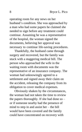operating room for any news on her husband's condition. She was approached by a man who had some papers he claimed she needed to sign before any treatment could continue. Assuming he was a representative of the hospital, the woman signed the documents, believing her approval was necessary to continue life-saving procedures.

Thankfully, the husband came through surgery and recovered, but the family was stuck with a staggering medical bill. The person who approached the wife in the waiting room with documents was the representative of an insurance company. The woman had unknowingly agreed to a settlement and signed away their claim on the accident, releasing the company from its obligation to cover medical expenses.

Obviously shaken by the circumstances, the woman had not taken the time to review the papers thoroughly. If she had done so – or if someone nearby had the presence of mind to step in and assist her – the bill would have been covered and the family could have concentrated on recovery with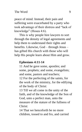peace of mind. Instead, their pain and suffering were exacerbated by a party who took advantage of their distress and "lack of knowledge" (Hosea 4:6).

This is why people hire lawyers to sort through the density of legal agreements and help them to understand their rights and benefits. Likewise, God – through Jesus – has gifted His church with those who will help His people learn about Him and grow.

### **Ephesians 4:11-14**

11 And he gave some, apostles; and some, prophets; and some, evangelists; and some, pastors and teachers;

12 For the perfecting of the saints, for the work of the ministry, for the edifying of the body of Christ:

13 Till we all come in the unity of the faith, and of the knowledge of the Son of God, unto a perfect man, unto the measure of the stature of the fullness of Christ:

14 That we henceforth be no more children, tossed to and fro, and carried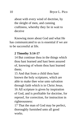about with every wind of doctrine, by the sleight of men, and cunning craftiness, whereby they lie in wait to deceive

Knowing more about God and what He has communicated to us is essential if we are to be successful at life.

### **2 Timothy 3:14-17**

14 But continue thou in the things which thou hast learned and hast been assured of, knowing of whom thou hast learned them;

15 And that from a child thou hast known the holy scriptures, which are able to make thee wise unto salvation through faith which is in Christ Jesus. 16 All scripture is given by inspiration of God, and is profitable for doctrine, for reproof, for correction, for instruction in righteousness:

17 That the man of God may be perfect, thoroughly furnished unto all good works.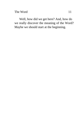The Word 11

Well, how did we get here? And, how do we really discover the meaning of the Word? Maybe we should start at the beginning.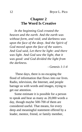# <span id="page-23-0"></span>**Chapter 2 The Word Is Creative**

*In the beginning God created the heaven and the earth. And the earth was without form, and void; and darkness was upon the face of the deep. And the Spirit of God moved upon the face of the waters. And God said, Let there be light: and there was light. And God saw the light, that it was good: and God divided the light from the darkness.*

*- Genesis 1:1-4*

These days, there is no escaping the flood of information that flows into our lives. Radio, television, the Internet, and people barrage us with words and images, trying to get our attention.

Some estimate it is possible for a person to speak and hear as many as 20,000 words a day, though maybe 500-700 of them are considered useful. That means, for every deep and meaningful statement offered by a leader, mentor, friend, or family member,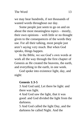we may hear hundreds, if not thousands of wasted words throughout our day.

Some people just seem to go on and on about the most meaningless topics – mostly, their own opinions – with little or no thought given to the consequences of the words they use. For all their talking, most people just aren't saying very much. But when God speaks, things happen.

In the Bible, we see God's own words at work all the way through the first chapter of Genesis as He created the heavens, the earth, and everything in the earth, in one week.

God spoke into existence light, day, and night:

#### **Genesis 1:3-5**

3 And God said, Let there be light: and there was light.

4 And God saw the light, that it was good: and God divided the light from the darkness.

5 And God called the light Day, and the darkness he called Night. And the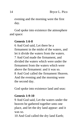evening and the morning were the first day.

God spoke into existence the atmosphere and space:

# **Genesis 1:6-8**

6 And God said, Let there be a firmament in the midst of the waters, and let it divide the waters from the waters. 7 And God made the firmament, and divided the waters which were under the firmament from the waters which were above the firmament: and it was so. 8 And God called the firmament Heaven. And the evening and the morning were the second day.

God spoke into existence land and seas:

# **Genesis 1:9-10**

9 And God said, Let the waters under the heaven be gathered together unto one place, and let the dry land appear: and it was so.

10 And God called the dry land Earth;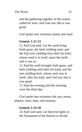and the gathering together of the waters called he Seas: and God saw that it was good.

God spoke into existence plants and seed:

# **Genesis 1:11-13**

11 And God said, Let the earth bring forth grass, the herb yielding seed, and the fruit tree yielding fruit after his kind, whose seed is in itself, upon the earth: and it was so.

12 And the earth brought forth grass, and herb yielding seed after his kind, and the tree yielding fruit, whose seed was in itself, after his kind: and God saw that it was good.

13 And the evening and the morning were the third day.

God spoke into existence the sun, moon, planets, stars, time, and seasons:

# **Genesis 1:14-18**

14 And God said, Let there be lights in the firmament of the heaven to divide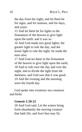the day from the night; and let them be for signs, and for seasons, and for days, and years:

15 And let them be for lights in the firmament of the heaven to give light upon the earth: and it was so.

16 And God made two great lights; the greater light to rule the day, and the lesser light to rule the night: he made the stars also.

17 And God set them in the firmament of the heaven to give light upon the earth, 18 And to rule over the day and over the night, and to divide the light from the darkness: and God saw that it was good. 19 And the evening and the morning were the fourth day.

God spoke into existence sea creatures and birds:

#### **Genesis 1:20-22**

20 And God said, Let the waters bring forth abundantly the moving creature that hath life, and fowl that may fly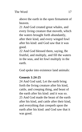above the earth in the open firmament of heaven.

21 And God created great whales, and every living creature that moveth, which the waters brought forth abundantly, after their kind, and every winged fowl after his kind: and God saw that it was good.

22 And God blessed them, saying, Be fruitful, and multiply, and fill the waters in the seas, and let fowl multiply in the earth.

God spoke into existence land animals:

# **Genesis 1:24-25**

24 And God said, Let the earth bring forth the living creature after his kind, cattle, and creeping thing, and beast of the earth after his kind: and it was so. 25 And God made the beast of the earth after his kind, and cattle after their kind, and everything that creepeth upon the earth after his kind: and God saw that it was good.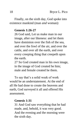Finally, on the sixth day, God spoke into existence mankind (man *and* woman):

# **Genesis 1:26-27**

26 God said, Let us make man in our image, after our likeness: and let them have dominion over the fish of the sea, and over the fowl of the air, and over the cattle, and over all the earth, and over every creeping thing that creepeth upon the earth.

27 So God created man in his own image, in the image of God created he him; male and female created he them.

To say that's a solid week of work would be an understatement. At the end of all He had done to create the heavens and earth, God surveyed it all and offered His assessment.

# **Genesis 1:31**

31 And God saw everything that he had made, and, behold, it was very good. And the evening and the morning were the sixth day.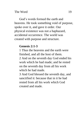God's words formed the earth and heavens. He took something void of purpose, spoke over it, and gave it order. Our physical existence was not a haphazard, accidental occurrence. The world was created with purpose and structure.

# **Genesis 2:1-3**

1 Thus the heavens and the earth were finished, and all the host of them. 2 And on the seventh day God ended his work which he had made; and he rested on the seventh day from all his work which he had made.

3 And God blessed the seventh day, and sanctified it: because that in it he had rested from all his work which God created and made.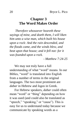# <span id="page-31-0"></span>**Chapter 3 The Word Makes Order**

*Therefore whosoever heareth these sayings of mine, and doeth them, I will liken him unto a wise man, which built his house upon a rock: And the rain descended, and the floods came, and the winds blew, and beat upon that house; and it fell not: for it was founded upon a rock.*

*- Matthew 7:24-25*

We may not truly have a full understanding of what "word" means. In our Bibles, "word" is translated into English from a number of terms in the original languages. The two most prominent are *dabar* in Hebrew and *logos* in Greek.

For Hebrew speakers, *dabar* could often mean "word" or "thing" depending on how it was used (and could also be translated as "speech," "speaking," or "cause"). This is easy for us to understand today because we communicate by speaking words as a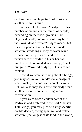declaration to create pictures of things in another person's mind.

For example, the word "bridge" creates a number of pictures in the minds of people, depending on their backgrounds. Card players, dentists, and musicians may have their own ideas of what "bridge" means, but for most people it refers to a man-made structure straddling a body of water while connecting two pieces of land. How each person sees the bridge in his or her own mind depends on related words (e.g., "steel bridge" or "covered bridge"). This is called context.

Now, if we were speaking about a bridge, you may see in your mind's eye a bridge of wood, metal, or stone over a creek or river. But, you also may see a different bridge than another person who is listening to our conversation.

If you were from a certain part of the Midwest, and I referred to the Fort Madison Toll Bridge, you may picture a very specific double-decked, swing-span, rail and traffic structure (the longest of its kind in the world)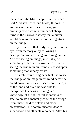that crosses the Mississippi River between Fort Madison, Iowa, and Niota, Illinois. If you've ever been over it in a car, you probably also picture a number of sharp turns in the narrow roadway that a driver would have to manage before even getting on the bridge.

If you can see that bridge in your mind's eye, from memory or by following a description, you are using your imagination. You are seeing an image, internally, of something described by words. In this case, seeing the bridge in our minds is based upon something that already exists.

An architectural engineer first had to see the bridge as an image in his mind before he could draw plans for it. Based upon surveys of the land and river, he was able to incorporate his design training and knowledge of the structural soundness of steel to create a mental picture of the bridge. From there, he drew plans and made presentations. He communicated ideas to supervisors and other stakeholders. After his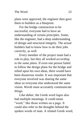plans were approved, the engineer then gave them to builders as a blueprint.

For the bridge construction to be successful, everyone had to have an understanding of certain principles. Some, like the engineer, had a deep understanding of design and structural integrity. The actual builders had to know how to do their jobs correctly, as well.

Every member of the project team had a role to play, but they all worked *according to the same plans*. If even one person failed to follow the design plans for the bridge and relied upon his own ideas, there would have been disastrous results. It was important that everyone involved was sharing the same ideas so everyone else understood the same vision. *Words* must accurately communicate *things*.

Like *dabar*, the Greek word *logos* also had multiple meanings. It could mean "word," like those written on a page. It could also refer to the thoughts behind the spoken words of man. A related Greek word,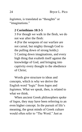*logismos*, is translated as "thoughts" or "imaginations."

# **2 Corinthians 10:3-5**

3 For though we walk in the flesh, we do not war after the flesh:

4 (For the weapons of our warfare are not carnal, but mighty through God to the pulling down of strong holds;) 5 Casting down imaginations, and every high thing that exalteth itself against the knowledge of God, and bringing into captivity every thought to the obedience of Christ;

Words give structure to ideas and concepts, which is why we derive the English word "logic" from *logos* and *logismos*. What we speak, then, is related to what we think.

When ancient Greek philosophers spoke of *logos*, they may have been referring to an even higher concept. In the pursuit of life's meaning, the great minds of Greek culture would often refer to "The Word." Just as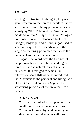words gave structure to thoughts, they also gave structure to the forces at work in nature and human culture. Many philosophers saw a unifying "Word" behind the "words" of mankind, or the "Thing" behind all "things." For those who were influenced by Greek thought, language, and culture, *logos* used in a certain way referred specifically to the single "structuring principle" that holds the universe together and gives it order.

*Logos*, The Word, was the true god of the philosophers – the rational and logical force behind the natural laws of man's existence. It is this god to which Paul referred on Mars Hill when he introduced the Athenians to the personal and living God of the Bible. Paul connects *Logos* – the structuring principle of the universe – to a person.

#### **Acts 17:22-23**

22 … Ye men of Athens, I perceive that in all things ye are too superstitious. 23 For as I passed by, and beheld your devotions, I found an altar with this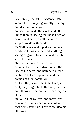inscription, TO THE UNKNOWN GOD. Whom therefore ye ignorantly worship, him declare I unto you.

24 God that made the world and all things therein, seeing that he is Lord of heaven and earth, dwelleth not in temples made with hands;

25 Neither is worshipped with men's hands, as though he needed anything, seeing he giveth to all life, and breath, and all things;

26 And hath made of one blood all nations of men for to dwell on all the face of the earth, and hath determined the times before appointed, and the bounds of their habitation;

27 That they should seek the Lord, if haply they might feel after him, and find him, though he be not far from every one of us:

28 For in him we live, and move, and have our being; as certain also of your own poets have said, For we are also his offspring.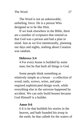The Word is not an unknowable, unfeeling, force. He is a person Who designed us to be like Him.

If we look elsewhere in the Bible, there are a number of scriptures that remind us that God was a person and had a plan in mind. Just as we live intentionally, planning our days and nights, nothing about Creation was random.

## **Hebrews 3:4**

4 For every house is builded by some man; but he that built all things is God.

Some people think something as relatively simple as a house – a collection of wood, nails, screws, wires, and pipe – required sophisticated design work, while everything else in the universe happened by accident. We can only build houses because God Himself is a builder.

### **Amos 9:6**

6 It is he that buildeth his stories in the heaven, and hath founded his troop in the earth; he that calleth for the waters of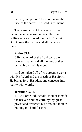the sea, and poureth them out upon the face of the earth: The Lord is his name.

There are parts of the oceans so deep that not even mankind in its collective brilliance has explored them all. That said, God knows the depths and all that are in them.

#### **Psalm 33:6**

6 By the word of the Lord were the heavens made; and all the host of them by the breath of his mouth.

God completed all of His creative works with His Word and the breath of His Spirit. He brings forth His ideas and concepts into reality with words.

### **Jeremiah 32:17**

17 Ah Lord God! behold, thou hast made the heaven and the earth by thy great power and stretched out arm, and there is nothing too hard for thee.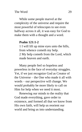While some people marvel at the complexity of the universe and require the most powerful of telescopes to see even halfway across it all, it was easy for God to make them with a thought and a word.

## **Psalm 121:1-2**

1 I will lift up mine eyes unto the hills, from whence cometh my help. 2 My help cometh from the Lord, which made heaven and earth.

Many people feel so hopeless and powerless in the face of everyday struggles. Yet, if we just recognize God as Creator of the Universe – the One who made it all with words – our perspective will change. We would probably be more likely to call on Him for help when we need it most.

Renewing our minds to the reality that God made everything, gave order to existence, and formed all that we know from His own faith, will help us reorient our world and bring us into understanding.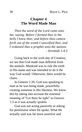## **Chapter 4 The Word Made Man**

*Then the word of the Lord came unto me, saying, Before I formed thee in the belly I knew thee; and before thou camest forth out of the womb I sanctified thee, and I ordained thee a prophet unto the nations. - Jeremiah 1:4-5*

Going back to the sixth day of Creation, we see that God made man different from the animals. Mankind was to rule the earth in His name and was intended to do it the way God would. Otherwise, there would be chaos.

In Genesis 1:26, God was speaking to man as he was being made, powerfully creating someone in His likeness. We know this by taking into account the essential meaning of "Let there be light" in Genesis 1:3 as it was actually spoken.

God was not acting passively or asking for permission when He spoke. What He actually said was far more assertive and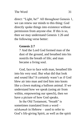direct: "Light, be!" All throughout Genesis 1, we can renew our minds to this thing: God directly spoke things into existence without permission from anyone else. If this is so, then we may understand Genesis 1:26 and the following verse better:

## **Genesis 2:7**

7 And the Lord God formed man of the dust of the ground, and breathed into his nostrils the breath of life; and man became a living soul.

God, face to face with man, breathed life into his very soul. But what did that look and sound like? It certainly wasn't as if God blew air into man and tied him into knots like a clown making a balloon animal. If we understand how we speak (using air from within, empowering our speech), then we have a picture of how God speaks.

In the Old Testament, "breath" is sometimes translated from a word – *nĕshamah* in Hebrew – used to refer to God's life-giving Spirit, as well as the spirit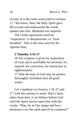of man. It is the same word used in Genesis 2:7. We know, then, the Holy Spirit gave life to man and empowered the words spoken into him. Mankind was inspired.

The Greek equivalent word for "inspiration" is *theopneustos*, or "Godbreathed." This is the term used by the Apostle Paul.

### **2 Timothy 3:16-17**

16 All scripture is given by inspiration of God, and is profitable for doctrine, for reproof, for correction, for instruction in righteousness:

17 That the man of God may be perfect, thoroughly furnished unto all good works.

Let's meditate on Genesis 1:26-27 and 2:7 with this picture in mind: Man's form, taken from dust, is set lifeless before God until the Spirit moves upon him with the words, "Man, be in Our image and have dominion over the earth and all its creatures!"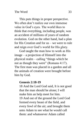This puts things in proper perspective. We often don't realize our own immense value in God's eyes. The world likes to think that everything, including people, was an accident of millions of years of random evolution. God on the other hand, had a plan for His Creation and for us – we were to rule and reign over God's world for His glory.

God taught the man how to work as His image – a projection of Himself into the physical realm – calling "things which be not as though they were" (Romans 4:17). The first man was placed in a garden and all the animals of creation were brought before him by God.

#### **Genesis 2:18-19**

18 And the Lord God said, It is not good that the man should be alone; I will make him an help meet for him. 19 And out of the ground the Lord God formed every beast of the field, and every fowl of the air; and brought them unto Adam to see what he would call them: and whatsoever Adam called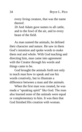every living creature, that was the name thereof.

20 And Adam gave names to all cattle, and to the fowl of the air, and to every beast of the field.

As man named the animals, he defined their character and nature. He saw in them God's intention and spoke words to make them real and whole. With God teaching and directing him, man came into agreement with the Creator through his words and things came to be.

God brought the animals forth not only to teach man how to speak and use his words creatively, but to illustrate a difference between a man and the animals.

When the first man was created, he was made a "speaking spirit" like God. The man also learned none of the animals were equal or complementary to him. It was then that God finished His creation with woman.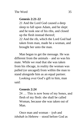## **Genesis 2:21-22**

21 And the Lord God caused a deep sleep to fall upon Adam, and he slept: and he took one of his ribs, and closed up the flesh instead thereof; 22 And the rib, which the Lord God had taken from man, made he a woman, and brought her unto the man.

Man began to get the message. He was different from the animals – and so was his mate. While we read that she was taken from his ribcage, in reality the woman was pulled (or uncaged) from within the man to stand alongside him as an equal partner.

Looking over God's gift to him, man said:

## **Genesis 2:24**

24 … This is now bone of my bones, and flesh of my flesh: she shall be called Woman, because she was taken out of Man.

Once man and woman – *iysh* and *ishshah* in Hebrew – stood before God as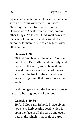equals and counterparts, He was then able to speak a blessing over them. Our word "blessing" is often translated from the Hebrew word *barak* which means, among other things, "to kneel." God knelt down to the level of mankind and delegated His authority to them to rule as co-regents over all Creation.

## **Genesis 1:28**

28 And God blessed them, and God said unto them, Be fruitful, and multiply, and replenish the earth, and subdue it: and have dominion over the fish of the sea, and over the fowl of the air, and over every living thing that moveth upon the earth.

God then gave them the key to existence – the life-bearing power of the seed.

#### **Genesis 1:29-30**

29 And God said, Behold, I have given you every herb bearing seed, which is upon the face of all the earth, and every tree, in the which is the fruit of a tree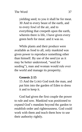yielding seed; to you it shall be for meat. 30 And to every beast of the earth, and to every fowl of the air, and to everything that creepeth upon the earth, wherein there is life, I have given every green herb for meat: and it was so.

While plants and their produce were available as food to all, only mankind was given power to reproduce something other than himself. By use of the seed (or as it may be better understood, "seed for seeding"), man and woman would rule over the world and manage its prosperity.

#### **Genesis 2:15**

15 And the LORD God took the man, and put him into the garden of Eden to dress it and to keep it.

God had given the first couple the power to rule and sow. Mankind was positioned to expand God's mandate beyond the garden to establish order and righteousness. God could work with them and teach them how to use their authority rightly.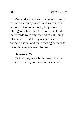Man and woman were set apart from the rest of creation by words and were given authority. Unlike animals, they spoke intelligently like their Creator. Like God, their words were empowered to call things into existence. All they needed was the correct wisdom and their own agreement to make their words work for good.

## **Genesis 2:25**

25 And they were both naked, the man and his wife, and were not ashamed.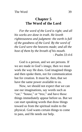## **Chapter 5 The Word of the Lord**

*For the word of the Lord is right; and all his works are done in truth. He loveth righteousness and judgment: the earth is full of the goodness of the Lord. By the word of the Lord were the heavens made; and all the host of them by the breath of his mouth. - Psalm 33:4-6*

God is a person, and we are persons. If we are made in God's image, then we must work the way He does. God imagined things and then spoke them, not for communication but for creation. It must be, then, that we have the same power available to us.

Now, we should not expect that we can use our imaginations, say words such as "car," "house," or "tree," and have those things immediately appear before us. But we can start speaking words that draw things toward us from the spiritual realm to the physical. God wants certain things to come to pass, and He needs our help.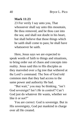**Mark 11:23**

23 For verily I say unto you, That whosoever shall say unto this mountain, Be thou removed, and be thou cast into the sea; and shall not doubt in his heart, but shall believe that those things which he saith shall come to pass; he shall have whatsoever he saith.

Here, Jesus says we are expected to speak words of faith to things and situations, to bring order out of chaos and concepts into reality. Jesus said this to His disciples as they marveled over a fig tree that withered at the Lord's command. The Son of God told common men that they had access to the same power and authority He had.

"But wait," you may be thinking, "isn't God sovereign? Isn't *He* in control? Can't God just do whatever *He* wants, whether we like it or not?"

You are correct: God is sovereign. But in His sovereignty, God put mankind in charge over all He created.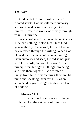God is the Creator Spirit, while we are created spirits. God has ultimate authority and we have delegated authority. God limited Himself to work exclusively through us in His universe.

When God made the universe in Genesis 1, he had nothing to stop him. Once God gave authority to mankind, His will had to be exercised through the willing. When God blessed the first man and woman (giving them authority and seed) He did so not just with His words, but with His *Word* – the principle that brought all things into being and held them together. God created all things from faith, first picturing them in His mind and speaking them forth just as an architect designs a bridge and directs a team of builders.

### **Hebrews 11:1**

11 Now faith is the substance of things hoped for, the evidence of things not seen.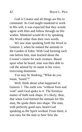God is Creator and all things are His to command. As God taught mankind to work in His will, it was expected that they would agree with Him and follow through on His wishes. Mankind would do it by speaking *His* Word rather than their own words.

We saw man speaking forth the Word in Genesis 2, when he named the animals in the Garden of Eden. With God forming each one before him, man learned about the Creator's intent for each creature. Based upon what he heard, man was then able to call the animal by its name in his voice, exercising dominion.

You may be thinking, "What do you mean, 'heard'?"

Well, think about what happened in Genesis 1: The earth was "without form and void" until God spoke to it. The formless matter of faith took shape. It's likely, then, that when God formed the animals for His man, He *spoke* them into shape. The man, with perfectly good ears, heard God speaking as the Spirit worked. From there, it was easy for the man to *hear* how the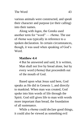various animals were constructed, and *speak* their character and purpose (or their calling) into their names.

Along with *logos*, the Greeks used another term for "word" — *rhema*. The use of *rhema* was typically in reference to a spoken declaration. In certain circumstances, though, it was used when speaking of God's Word.

## **Matthew 4:4**

4 But he answered and said, It is written, Man shall not live by bread alone, but by every word (*rhema)* that proceedeth out of the mouth of God.

Based upon what Jesus said here, God speaks as He did in Genesis 1, and directly to mankind. When man was created, God spoke into him words of life through the Spirit. God still gives life to man with words more important than bread, the foundation of all sustenance.

While a *rhema* could declare good things, it could also be viewed as something evil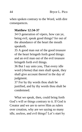when spoken contrary to the Word, with dire consequences.

## **Matthew 12:34-37**

34 O generation of vipers, how can ye, being evil, speak good things? for out of the abundance of the heart the mouth speaketh.

35 A good man out of the good treasure of the heart bringeth forth good things: and an evil man out of the evil treasure bringeth forth evil things.

36 But I say unto you, That every idle word (*rhema*) that men shall speak, they shall give account thereof in the day of judgment.

37 For by thy words thou shalt be justified, and by thy words thou shalt be condemned.

What we speak, then, could bring forth God's will or things contrary to it. If God is Creator and we are to serve Him as rulers over creation, why are we saying so many idle, useless, and evil things? Let's start by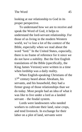looking at our relationship to God in its proper perspective.

To understand how we are to receive and speak the Word of God, it helps to understand the lord-servant relationship. For those of us living in the modern Western world, we've lost a lot of the context of the Bible, especially when we read about the word "lord." In the United States, especially, there is no frame of reference for it since we do not have a nobility. But the first English translations of the Bible (specifically, the King James Version) were written in a time when lordship was a daily reality.

When English-speaking Christians of the 17<sup>th</sup> century heard about Abraham, his servants, and his household, they had a firmer grasp of those relationships than we do today. Most people had an idea of what it was like to live under a lord as a landed servant – the feudal system.

Lords were landowners who needed workers to cultivate their land, raise crops, and tend livestock. In exchange for their labor on a plot of land, servants were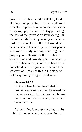provided benefits including shelter, food, clothing, and protection. The servants were expected to produce an increase (harvest or offspring), pay rent or taxes (by providing the best of the increase or harvest), fight in the lord's militia, and generally serve at the lord's pleasure. Often, the lord would add new parcels to his land by recruiting people who were already farming, annexing their property in exchange for the benefits of servanthood and providing seed to be sown.

In biblical terms, a lord was head of the household, and everyone who served him was part of it. We see this in the story of Lot's capture by King Chederlaomer.

#### **Genesis 14:14**

14 And when Abram heard that his brother was taken captive, he armed his trained servants, born in his own house, three hundred and eighteen, and pursued them unto Dan.

As we'll find later, servants had all the rights of adopted sons, even receiving an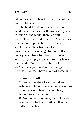inheritance when their lord and head of the household dies.

The feudal system, has been part of mankind's existence for thousands of years. In much of the world, there are still remnants of it at work. Even in America, we receive police protection, safe roadways, and free schooling from our local governments in exchange for taxes. If you think you are truly free from the feudal system, try not paying your property taxes for a while. You will soon find out there are no "natural sojourners" or "sovereign citizens." We each have a lord of some kind.

## **Romans 13:7-8**

7 Render therefore to all their dues: tribute to whom tribute is due; custom to whom custom; fear to whom fear; honour to whom honour.

8 Owe no man anything, but to love one another: for he that loveth another hath fulfilled the law.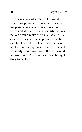It was in a lord's interest to provide everything possible to make his servants prosperous. Whatever tools or resources were needed to generate a bountiful harvest, the lord would make them available to his servants. They were also provided the best seed to plant in the fields. A servant never had to want for anything, because if he and his family were prosperous, the lord would be prosperous. A servant's success brought glory to his lord.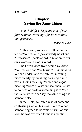# **Chapter 6 Saying the Same Things**

*Let us hold fast the profession of our faith without wavering; (for he is faithful that promised;)*

*- Hebrews 10:23*

At this point, we should talk about the terms "confession" (acknowledgment) and "profession" (declaration) in relation to our own words and God's Word.

The Greek word from which we draw "confession" and "profession" is *homologia*. We can understand the biblical meaning more clearly by breaking *homologia* into parts: *homos* meaning "same" and *logos* meaning "word." What we see, then, is that to confess or profess something is to "use the same words" or "say the same thing" as someone else.

In the Bible, we often read of someone confessing God or Jesus as "Lord." When someone agreed to become servant of one lord, he was expected to make a public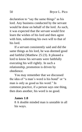declaration to "say the same things" as his lord. Any business conducted by the servant would be done on behalf of the lord. As such, it was expected that the servant would first learn the wishes of his lord and then agree with him, submitting his own will to that of his lord.

If a servant consistently said and did the same things as his lord, he was deemed good and faithful (Matthew 25:23). It pleased a lord to know his servants were faithfully executing his will rightly. In such a relationship, promotion is driven by obedience.

You may remember that we discussed the idea of "a man's word is his bond" or "a man is only as good as his word." In common practice, if a person says one thing, then does another, his word is no good.

#### **James 1:8**

8 A double minded man is unstable in all his ways.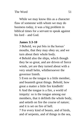While we may know this as a character flaw of someone with whom we may do business today, it was a big problem in biblical times for a servant to speak against his lord – and God.

### **James 3:3-10**

3 Behold, we put bits in the horses' mouths, that they may obey us; and we turn about their whole body.

4 Behold also the ships, which though they be so great, and are driven of fierce winds, yet are they turned about with a very small helm, whithersoever the governor listeth.

5 Even so the tongue is a little member, and boasteth great things. Behold, how great a matter a little fire kindleth! 6 And the tongue is a fire, a world of iniquity: so is the tongue among our members, that it defileth the whole body, and setteth on fire the course of nature; and it is set on fire of hell.

7 For every kind of beasts, and of birds, and of serpents, and of things in the sea,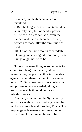is tamed, and hath been tamed of mankind:

8 But the tongue can no man tame; it is an unruly evil, full of deadly poison. 9 Therewith bless we God, even the Father; and therewith curse we men, which are made after the similitude of God.

10 Out of the same mouth proceedeth blessing and cursing. My brethren, these things ought not so to be.

To say the same thing as someone is to submit to (bless) that person, while contradicting people in authority is to stand against (curse) them. In the Old Testament book of 2 Kings, we learn how confession and profession are rewarded, along with how unfavorable it could be for an unfaithful servant.

Naaman, a captain in the Syrian army, was struck with leprosy. Seeking relief, he reached out to a Jewish prophet, Elisha. The prophet gave Naaman a command to wash in the River Jordan seven times to be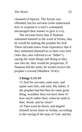cleansed of leprosy. The Syrian was offended, but his servants (who understood how to respond to a lord's command) encouraged their master to give it a try.

The servants knew that if Naaman submitted himself to the word of Elisha, that he would be making the prophet his lord. These servants knew from experience that if they submitted themselves to their own lord (who they also referred to as "father"), saying the same things and doing as they saw him do, they would be prosperous. If Naaman did the same, he would receive the prophet's reward (Matthew 10:41).

#### **2 Kings 5:13-14**

13 And his servants came near, and spake unto him, and said, My father, if the prophet had bid thee do some great thing, wouldest thou not have done it? how much rather then, when he saith to thee, Wash, and be clean? 14 Then went he down, and dipped himself seven times in Jordan, according to the saying of the man of God: and his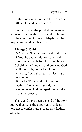flesh came again like unto the flesh of a little child, and he was clean.

Naaman did as the prophet commanded, and was healed with fresh new skin. In his joy, the man tried to reward Elijah, but the prophet turned down his gifts.

## **2 Kings 5:15-16**

15 And he (Naaman) returned to the man of God, he and all his company, and came, and stood before him: and he said, Behold, now I know that there is no God in all the earth, but in Israel: now therefore, I pray thee, take a blessing of thy servant.

16 But he (Elijah) said, As the Lord liveth, before whom I stand, I will receive none. And he urged him to take it; but he refused.

This could have been the end of the story, but we then have the opportunity to learn how not to confess and profess as a faithful servant.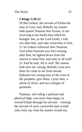## **2 Kings 5:20-22**

20 But Gehazi, the servant of Elisha the man of God, said, Behold, my master hath spared Naaman this Syrian, in not receiving at his hands that which he brought: but, as the Lord liveth, I will run after him, and take somewhat of him. 21 So Gehazi followed after Naaman. And when Naaman saw him running after him, he lighted down from the chariot to meet him, and said, Is all well? 22 And he said, All is well. My master hath sent me, saying, Behold, even now there be come to me from mount Ephraim two young men of the sons of the prophets: give them, I pray thee, a talent of silver, and two changes of garments.

Naaman, still riding a spiritual and physical high, was more than happy to reward Elijah through his servant – trusting the servant of such a powerful man would only truly say what his master would say.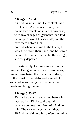#### **2 Kings 5:23-24**

23 And Naaman said, Be content, take two talents. And he urged him, and bound two talents of silver in two bags, with two changes of garments, and laid them upon two of his servants; and they bare them before him.

24 And when he came to the tower, he took them from their hand, and bestowed them in the house: and he let the men go, and they departed.

Unfortunately, Gehazi's master was a prophet. Being anointed has its privileges, one of those being the operation of the gifts of the Spirit. Elijah delivered a word of knowledge, exposing his servant's dirty deeds and lying tongue.

#### **2 Kings 5:25-27**

25 But he went in, and stood before his master. And Elisha said unto him, Whence comest thou, Gehazi? And he said, Thy servant went no whither. 26 And he said unto him, Went not mine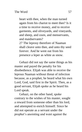heart with thee, when the man turned again from his chariot to meet thee? Is it a time to receive money, and to receive garments, and oliveyards, and vineyards, and sheep, and oxen, and menservants, and maidservants? 27 The leprosy therefore of Naaman shall cleave unto thee, and unto thy seed forever. And he went out from his presence a leper as white as snow.

Gehazi did not say the same things as his master and payed the penalty for his disobedience. Elijah was able to receive the leprous Naaman without threat of infection because, as a prophet, he heard what his own Lord, God, said first in the Spirit. Then, as a good servant, Elijah spoke as he heard his Lord speak.

Gehazi, on the other hand, spoke contrary to the wishes of his master, sought a reward from someone other than his lord, and attempted to enrich himself. Since he did not operate as a servant under the prophet's anointing and went against the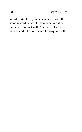Word of *the* Lord, Gehazi was left with the same reward he would have received if he had made contact with Naaman before he was healed – he contracted leprosy himself.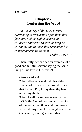# **Chapter 7 Confessing the Word**

*But the mercy of the Lord is from everlasting to everlasting upon them that fear him, and his righteousness unto children's children; To such as keep his covenant, and to those that remember his commandments to do them.*

*- Psalm 103:17-18*

Thankfully, we can see an example of a good and faithful servant saying the same thing as his lord in Genesis 24.

#### **Genesis 24:2-4**

2 And Abraham said unto his eldest servant of his house, that ruled over all that he had, Put, I pray thee, thy hand under my thigh:

3 And I will make thee swear by the LORD, the God of heaven, and the God of the earth, that thou shalt not take a wife unto my son of the daughters of the Canaanites, among whom I dwell: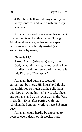4 But thou shalt go unto my country, and to my kindred, and take a wife unto my son Isaac.

Abraham, as lord, was asking his servant to execute his will in this matter. Though Abraham does not give his servant specific words to say, he is highly trusted (and known to us by name).

#### **Genesis 15:2**

2 And Abram (Abraham) said, LORD God, what wilt thou give me, seeing I go childless, and the steward of my house is this Eliezer of Damascus?

Abraham had built a successful agricultural business. His household flocks had multiplied so much that he split them with Lot, allowing his nephew to take sheep and servants and go his own way in the Vale of Siddim. Even after parting with lot, Abraham had enough work to keep 318 men busy.

Abraham could hardly be expected to oversee every detail of his flocks, trade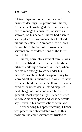relationships with other families, and business dealings. By promoting Eliezer, Abraham acknowledged that someone else had to manage his business, or serve as steward, on his behalf. Eliezer had risen to such a place of prominence that he stood to inherit the estate if Abraham died without natural born children of his own, since servants are considered sons of the lord's household.

Eliezer, born into a servant family, was likely identified as a particularly bright and diligent child by Abraham. As such, when he was old enough to work under his master's watch, he had the opportunity to learn Abraham's business. He watched how Abraham bred the flock, dealt with servants, handled business deals, settled disputes, made bargains, and conducted himself in general. Most importantly, Eliezer listened to how Abraham spoke and what he would say – even in his conversations with God.

After serving his apprenticeship, Eliezer was placed in a stewardship role. In this position, the chief servant was trusted to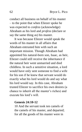conduct all business on behalf of his master – to the point that when Eliezer spoke he was expected to *confess* (acknowledge) Abraham as his lord and *profess* (declare or say the same thing as) his master.

It was because Eliezer would speak the words of his master in all affairs that Abraham entrusted him with such an important mission. Though Abraham had appointed his natural-born son, Isaac, as heir, Eliezer could still receive the inheritance if the natural heir went unmarried and died childless. In such a sensitive situation, a lord would have only sent someone to find a wife for his son if he knew that servant would do exactly what his lord would do and say what his lord would say. In this case, Abraham trusted Eliezer to sacrifice his own desires (a chance to inherit all the master's riches) and execute his lord's will.

#### **Genesis 24:10-12**

10 And the servant took ten camels of the camels of his master, and departed; for all the goods of his master were in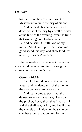his hand: and he arose, and went to Mesopotamia, unto the city of Nahor. 11 And he made his camels to kneel down without the city by a well of water at the time of the evening, even the time that women go out to draw water. 12 And he said O LORD God of my master Abraham, I pray thee, send me good speed this day, and shew kindness unto my master Abraham.

Eliezer made a vow to select the woman whom God revealed to him. He sought a woman with a servant's heart.

#### **Genesis 24:13-14**

13 Behold, I stand here by the well of water; and the daughters of the men of the city come out to draw water: 14 And let it come to pass, that the damsel to whom I shall say, Let down thy pitcher, I pray thee, that I may drink; and she shall say, Drink, and I will give thy camels drink also: let the same be she that thou hast appointed for thy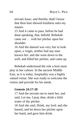servant Isaac; and thereby shall I know that thou hast shewed kindness unto my master.

15 And it came to pass, before he had done speaking, that, behold, Rebekah came out … with her pitcher upon her shoulder.

16 And the damsel was very fair to look upon, a virgin, neither had any man known her: and she went down to the well, and filled her pitcher, and came up.

Rebekah understood the role a host must play in her culture. In the ancient Middle East, as it is today, hospitality was a highly valued virtue. She was ready to welcome the visitor and provide for his needs.

#### **Genesis 24:17-20**

17 And the servant ran to meet her, and said, Let me, I pray thee, drink a little water of thy pitcher.

18 And she said, Drink, my lord: and she hasted, and let down her pitcher upon her hand, and gave him drink.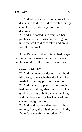19 And when she had done giving him drink, she said, I will draw water for thy camels also, until they have done drinking.

20 And she hasted, and emptied her pitcher into the trough, and ran again unto the well to draw water, and drew for all his camels.

After Rebekah did as Eliezer had prayed, he sought confirmation of her heritage so that he would fulfill his master's wishes.

# **Genesis 24:21-24**

21 And the man wondering at her held his peace, to wit whether the LORD had made his journey prosperous or not. 22 And it came to pass, as the camels had done drinking, that the man took a golden earring of half a shekel weight, and two bracelets for her hands of ten shekels weight of gold;

23 And said, Whose daughter art thou? tell me, I pray thee: is there room in thy father's house for us to lodge in?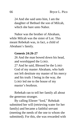24 And she said unto him, I am the daughter of Bethuel the son of Milcah, which she bare unto Nahor.

Nahor was the brother of Abraham, while Milcah was the sister of Lot. This meant Rebekah was, in fact, a child of Abraham's family.

#### **Genesis 24:26-27**

26 And the man bowed down his head, and worshipped the LORD. 27 And he said, Blessed be the LORD God of my master Abraham, who hath not left destitute my master of his mercy and his truth: I being in the way, the LORD led me to the house of my master's brethren.

Rebekah ran to tell her family all about the generous stranger.

By calling Eliezer "lord," Rebekah submitted her will (retrieving water for her family) and became a faithful servant (meeting the needs of the one to whom she submitted). For this, she was rewarded with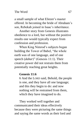a small sample of what Eliezer's master offered. In becoming the bride of Abraham's son, Rebekah joined in Isaac's inheritance.

Another story from Genesis illustrates obedience to a lord, but without the positive results one would typically expect from confession and profession.

When King Nimrod's subjects began building the Tower of Babel, "the whole earth was of one language, and of one speech (*dabar*)" (Genesis 11:1). Their creative power did not restrain them from potentially reaching great heights.

## **Genesis 11:6**

6 And the LORD said, Behold, the people is one, and they have all one language; and this they begin to do: and now nothing will be restrained from them, which they have imagined to do.

They worked well together and communicated their ideas effectively because they were picturing the same things and saying the same words as their lord and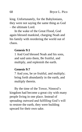king. Unfortunately, for the Babylonians, they were not saying the same thing as God – the ultimate Lord.

In the wake of the Great Flood, God again blessed mankind, charging Noah and his family with reordering the world out of chaos.

#### **Genesis 9:1**

1 And God blessed Noah and his sons, and said unto them, Be fruitful, and multiply, and replenish the earth.

#### **Genesis 9:7**

7 And you, be ye fruitful, and multiply; bring forth abundantly in the earth, and multiply therein.

By the time of the Tower, Nimrod's kingdom had become a great city with many people living in one place. Instead of spreading outward and fulfilling God's will to restore the earth, they were building upward for their own sake.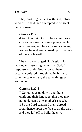They broke agreement with God, refused to do as He said, and attempted to be great on their own.

# **Genesis 11:4**

4 And they said, Go to, let us build us a city and a tower, whose top may reach unto heaven; and let us make us a name, lest we be scattered abroad upon the face of the whole earth.

They had exchanged God's glory for their own, frustrating the will of God. In response to pride, God allowed them to become confused through the inability to communicate and say the same things as each other.

# **Genesis 11:7-8**

7 Go to, let us go down, and there confound their language, that they may not understand one another's speech. 8 So the Lord scattered them abroad from thence upon the face of all the earth: and they left off to build the city.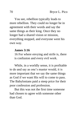You see, rebellion typically leads to more rebellion. They could no longer be in agreement with their words and say the same things as their king. Once they no longer had a shared vision or mission, everything stopped, and everyone went his own way.

#### **James 3:16**

16 For where envying and strife is, there is confusion and every evil work.

While, in a worldly sense, it is profitable to do and say as one's master would, it is more important that we say the same things as God if we want His will to come to pass. The Babylonians paid a steep price for their poor confession and profession.

But this was not the first time someone had chosen to agree with someone other than God.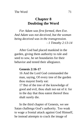# **Chapter 8 Doubting the Word**

*For Adam was first formed, then Eve. And Adam was not deceived, but the woman being deceived was in the transgression. - 1 Timothy 2:13-14* 

After God had placed mankind in the garden, giving them authority to rule and seed to sow, he set boundaries for their behavior and tested their allegiance.

#### **Genesis 2:16-17**

16 And the Lord God commanded the man, saying, Of every tree of the garden thou mayest freely eat:

17 But of the tree of the knowledge of good and evil, thou shalt not eat of it: for in the day that thou eatest thereof thou shalt surely die.

In the third chapter of Genesis, we see Satan challenge God's authority. Too weak to wage a frontal attack against God Himself, he instead attempts to crack the image of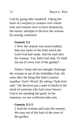God by going after mankind. Taking the form of a serpent (a creature over whom man and woman were to have dominion), the enemy attempts to deceive the woman by sowing confusion.

#### **Genesis 3:1**

1 Now the serpent was more (subtle) than any beast of the field which the Lord God had made. And he said unto the woman, Yea, hath God said, Ye shall not eat of every tree of the garden?

Notice, Satan did not outright challenge the woman to eat of the forbidden fruit. He went after the thing that held Creation together: God's Word. By asking "hath God said," the deceiver put a seed of doubt in the mind of someone who had never known God to be anything but good. In her response, we see confusion take root.

#### **Genesis 3:2-3**

2 And the woman said unto the serpent, We may eat of the fruit of the trees of the garden: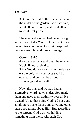3 But of the fruit of the tree which is in the midst of the garden, God hath said, Ye shall not eat of it, neither shall ye touch it, lest ye die.

The man and woman had never thought to question God's Word. The serpent made them think about what God said, exposed their uncertainty, and took advantage.

## **Genesis 3:4-5**

4 And the serpent said unto the woman, Ye shall not surely die:

5 For God doth know that in the day ye eat thereof, then your eyes shall be opened, and ye shall be as gods, knowing good and evil.

Now, the man and woman had an alternative "word" to consider. God made them and gave them authority over all He created. Up to that point, God had not done anything to make them think anything other than good things about Him. But according to the serpent, God was withholding something from them. Although God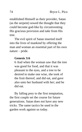established Himself as their provider, Satan (as the serpent) sowed the thought that they could become god-like by circumventing His gracious provision and *take* from His tree.

The evil spirit of Satan inserted itself into the lives of mankind by offering the man and woman an essential part of his own nature – pride.

#### **Genesis 3:6**

6 And when the woman saw that the tree was good for food, and that it was pleasant to the eyes, and a tree to be desired to make one wise, she took of the fruit thereof, and did eat, and gave also unto her husband with her; and he did eat.

By falling prey to the first temptation, the first couple set the course for future generations. Satan does not have any new tricks. The same tactics he used in the garden work against us today.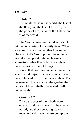# **1 John 2:16**

16 For all that is in the world, the lust of the flesh, and the lust of the eyes, and the pride of life, is not of the Father, but is of the world.

The Word comes from God and should set the boundaries of our daily lives. When we allow the word of another to take the place of God's Word, pride rises up in us. We take the opportunity to choose an alternative rather than submit ourselves to the structuring order of things.

It is at that point we come into rebellion against God, reject His provision, and are then obligated to provide for ourselves. For the man and the woman in the garden, the harvest of their rebellion revealed itself immediately.

## **Genesis 3:7**

7 And the eyes of them both were opened, and they knew that they were naked; and they sewed fig leaves together, and made themselves aprons.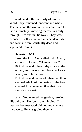While under the authority of God's Word, they remained innocent and whole. The man and the woman were connected to God intimately, knowing themselves only through Him and in His ways. They were exposed – self-aware and independent. Man and woman were spiritually dead and separated from God.

## **Genesis 3:9-11**

9 And the Lord God called unto Adam, and said unto him, Where art thou? 10 And he said, I heard thy voice in the garden, and I was afraid, because I was naked; and I hid myself.

11 And he said, Who told thee that thou wast naked? Hast thou eaten of the tree, whereof I commanded thee that thou shouldest not eat?

When God entered the garden, seeking His children, He found them hiding. This was not because God did not know where they were. He was giving them an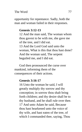opportunity for repentance. Sadly, both the man and woman failed in their responses.

# **Genesis 3:12-13**

12 And the man said, The woman whom thou gavest to be with me, she gave me of the tree, and I did eat. 13 And the Lord God said unto the woman, What is this that thou hast done? And the woman said, The serpent beguiled me, and I did eat.

God then pronounced the curse over mankind, informing them of the consequences of their actions.

# **Genesis 3:16-17**

16 Unto the woman he said, I will greatly multiply thy sorrow and thy conception; in sorrow thou shalt bring forth children; and thy desire shall be to thy husband, and he shall rule over thee. 17 And unto Adam he said, Because thou hast hearkened unto the voice of thy wife, and hast eaten of the tree, of which I commanded thee, saying, Thou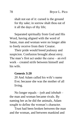shalt not eat of it: cursed is the ground for thy sake; in sorrow shalt thou eat of it all the days of thy life;

Separated spiritually from God and His Word, having aligned with the word of Satan, man and woman were no longer able to freely receive from their Creator.

Their pride would breed jealousy and suspicion. Confusion brought about envy. The man's first act under the curse – an evil work – created strife between himself and his wife.

#### **Genesis 3:20**

20 And Adam called his wife's name Eve; because she was the mother of all living.

No longer equals – *iysh* and *ishshah* – the man and woman became rivals. By naming her as he did the animals, Adam sought to define the woman's character.

Trust had been broken between the man and the woman, and between mankind and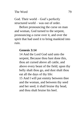God. Their world – God's perfectly structured world – was out of order.

Before pronouncing the curse on man and woman, God turned to the serpent, pronouncing a curse over it, and over the spirit that had used it to bring mankind into ruin.

### **Genesis 3:14**

14 And the Lord God said unto the serpent, Because thou hast done this, thou art cursed above all cattle, and above every beast of the field; upon thy belly shalt thou go, and dust shalt thou eat all the days of thy life:

15 And I will put enmity between thee and the woman, and between thy seed and her seed; it shall bruise thy head, and thou shalt bruise his heel.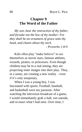# **Chapter 9 The Word of the Father**

*My son, hear the instruction of thy father, and forsake not the law of thy mother: For they shall be an ornament of grace unto thy head, and chains about thy neck.*

*- Proverbs 1:8-9*

Kids often play "make believe" to see themselves as movie stars, famous athletes, wizards, pirates, or princesses. Even though children may be in a real setting, they are projecting inner images into their play. They, in a sense, are creating a new reality – even if it's only temporary.

When I was a young boy, I was fascinated with sports. Football, baseball, and basketball were my passions. After watching the television broadcast of a game, I would immediately grab a ball, run outside, and re-enact what I had seen. Over time, I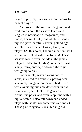began to play my own games, pretending to be real players.

As I grasped the rules of the games and read more about the various teams and leagues in newspapers, magazines, and books, I began to play out whole seasons in my backyard, carefully keeping standings and statistics for each league, team, and player. (At this point, I should mention that I was an only child with few friends). These seasons would even include night games (played under street lights). Whether it was sunny, rainy, snowy, or downright frigid, I was going to play.

For example, when playing football alone, my need to accurately portray what I saw in my imagination meant I had to run while avoiding invisible defenders, throw passes to myself, kick field goals over clothesline posts, and even keep time with a digital watch. I also fell down and ended plays with tackles (or sometimes a fumble). These games typically resulted in grass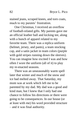stained jeans, scraped knees, and torn coats, much to my parents' frustration.

One Christmas, I received an overflow of football-related gifts. My parents gave me an official leather ball and kicking tee, along with a bunch of apparel related to my favorite team. There was a replica uniform (helmet, jersey, and pants), a team stocking cap, and a satin jacket in team colors (purple with gold stripes running down the sleeves). You can imagine how excited I was and how often I wore the uniform (all of it) to play my re-enacted seasons.

There was an unseasonably warm spell later that winter and much of the snow and ice had melted away. That Saturday, my mom was at work which left me to be parented by my dad. My dad was a good and kind man, but I knew that I only had one chance to follow his directions or there were going to be consequences. In our house (or at least with me) his word provided structure – and it was final authority.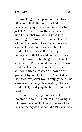Watching the temperature creep toward 50 degrees that afternoon, I asked to go outside and play football in my new satin jacket. My dad, seeing the mud outside, didn't think that would be a good idea (knowing my rough-and-tumble play). Dad told me that he didn't want my new jacket torn or stained, but I promised him I wouldn't fall down in the mud. I gave him *my word* that I would honor *his word*.

Not allowed to hit the ground, I had to get creative. Professional football isn't twohand touch, after all. I noticed there were still some sizable patches of snow on the ground. I figured that if I was "tackled" in the snow, my jacket would only get wet. The snow was relatively clean and my clothes would likely be dry by the time I went back inside.

Unfortunately, my plan was not foolproof. About 10 minutes into playing, I fell down on a patch of snow thinking I had outsmarted my dad. What I didn't know was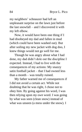my neighbors' schnauzer had left an unpleasant surprise on the lawn just before the last snowfall – and I discovered it with my left elbow.

Now, it would have been one thing if I had disobeyed my dad and fallen in mud (which could have been washed out). But after soiling my new jacket with dog doo, I knew things would not go well for me.

Though he was angry about what I had done, my dad didn't dole out the discipline I expected. Instead, I had to live with the consequences of my actions: My snazzy satin football jacket – that I had owned less than a month – was totally ruined.

My father warned me of consequences if I did not avoid a certain act. While not doubting that he was right, I chose not to obey him. By going against his word, I was then relying upon *my own* word. I was going by what was seen (clean snow) instead of what was unseen (a mess under the snow). I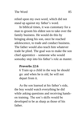relied upon my own word, which did not stand up against my father's word.

In biblical times, it was customary for a man to groom his eldest son to take over the family business. He would do this by bringing along his son, once he reached adolescence, to trade and conduct business. The father would also teach him whatever trade he plied. The goal was to make the son chief apprentice – someone who would someday step into his father's role as master.

## **Proverbs 22:6**

6 Train up a child in the way he should go: and when he is old, he will not depart from it.

As the son learned at his father's side, the boy would watch everything he did while asking questions and receiving handson training. The son's skills would be developed to be as sharp as those of his father.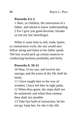### **Proverbs 4:1-2**

1 Hear, ye children, the instruction of a father, and attend to know understanding. 2 For I give you good doctrine, forsake ye not my law (teachings).

When it came time to sell, trade, barter, or commission work, the son would also follow along and listen to his father speak. The boy would pick up certain nuances to conducting business profitably and fairly.

#### **Proverbs 4: 10-13**

10 Hear, O my son, and receive my sayings; and the years of thy life shall be many.

11 I have taught thee in the way of wisdom; I have led thee in right paths.

12 When thou goest, thy steps shall not be straitened; and when thou runnest, thou shalt not stumble.

13 Take fast hold of instruction; let her not go: keep her; for she is thy life.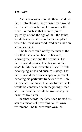As the son grew into adulthood, and his father into old age, the younger man would become a reasonable replacement for the elder. So much so that at some point – typically around the age of 30 – the father would bring the son into the marketplace where business was conducted and make an announcement.

The father would notify the men of the city that the son had been at his side, learning the trade and the business. The father would express his pleasure in the son's faithfulness, executing his will while developing skills and business savvy. The father would then place a special garment – denoting his particular trade or office – on the son and announce that any further deals would be conducted with the younger man and that the elder would be overseeing the business from afar.

In other words, the father had trained his son as a means of providing for his own retirement. The father would own the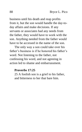business until his death and reap profits from it, but the son would handle the day-today affairs and make decisions. If any servants or associates had any needs from the father, they would have to work with the son. Anything needed from the father would have to be accessed in the name of the son.

The only way a son could take over his father's business is if he honored his father's word. Not listening to the father, not confessing his word, and not agreeing in action led to shame and embarrassment.

#### **Proverbs 17:25**

25 A foolish son is a grief to his father, and bitterness to her that bare him.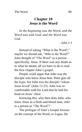# **Chapter 10 Jesus is the Word**

*In the beginning was the Word, and the Word was with God, and the Word was God.* 

*- John 1:1*

Instead of asking "What is the Word?," maybe we should ask, "*Who* is the Word?" John thought of "The Word" as a person – specifically, Jesus. If there was any doubt as to what he meant, all we have to do is read the first chapter John's gospel.

People could argue that John was the disciple who knew Jesus best. Peter gets all the hype, but John was the disciple "whom Jesus loved" (John 13:23). John was so comfortable with his Lord that he laid his head on Jesus' chest.

Knowing this, why then does John, who knew Jesus as a flesh-and-blood man, refer to a person as "The Word"?

The prologue of John's Gospel focuses on the concept of the Word, or *Logos*. He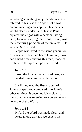was doing something very specific when he referred to Jesus as the *Logos*. John was communicating a concept that his readers would clearly understand. Just as Paul equated the *Logos* with a personal living God, John was saying that Jesus, a man, was the structuring principle of the universe – He was the Son of God.

People who lived in the same generation of Jesus, who saw and heard Him, may have had a hard time equating this man, made of flesh, with the spiritual power of God.

#### **John 1:5**

5 And the light shineth in darkness; and the darkness comprehended it not.

But if they read the first chapter of John's gospel, and compared it to John's other writings, it becomes fairly clear to them that he was referring to a person when he wrote of the Word.

#### **John 1:14**

14 And the Word was made flesh, and dwelt among us, (and we beheld his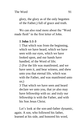glory, the glory as of the only begotten of the Father,) full of grace and truth.

We can also read more about the "Word made flesh" in the first letter of John.

# **1 John 1:1-3**

1 That which was from the beginning, which we have heard, which we have seen with our eyes, which we have looked upon, and our hands have handled, of the Word of life; 2 (For the life was manifested, and we have seen it, and bear witness, and shew unto you that eternal life, which was with the Father, and was manifested unto  $\text{us:}$ )

3 That which we have seen and heard declare we unto you, that ye also may have fellowship with us: and truly our fellowship is with the Father, and with his Son Jesus Christ.

Let's look at the son-and-father dynamic, again. A son, who followed his father, learned at his side, and honored his word,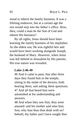stood to inherit the family business. It was a lifelong endeavor, but at a certain age the son would step into the father's office. How, then, could a man be the Son of God and inherit His business?

By all rights, Jesus should have been learning the family business of his stepfather. As the eldest son, He was rightful heir and would have been working alongside Joseph, the husband of Mary. However, when Jesus was left behind in Jerusalem by His parents, His true nature was revealed.

#### **Luke 2:46-49**

46 And it came to pass, that after three days they found him in the temple, sitting in the midst of the doctors, both hearing them, and asking them questions. 47 And all that heard him were astonished at his understanding and answers.

48 And when they saw him, they were amazed: and his mother said unto him, Son, why hast thou thus dealt with us? behold, thy father and I have sought thee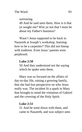sorrowing.

49 And he said unto them, How is it that ye sought me? Wist ye not that I must be about my Father's business?

Wasn't Jesus supposed to be back in Nazareth at Joseph's workshop, learning how to be a carpenter? This did not lineup with tradition. Even Jesus' parents were perplexed.

### **Luke 2:50**

50 And they understood not the saying which he spake unto them.

Mary was so focused on the affairs of day-to-day life, raising a growing family, that she had lost perspective on who Jesus really was. The incident lit a spark in Mary that brought to mind the visitation of Gabriel and the covering of the Holy Spirit.

# **Luke 2:51**

51 And he went down with them, and came to Nazareth, and was subject unto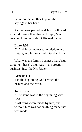them: but his mother kept all these sayings in her heart.

As the years passed, and Jesus followed a path different than that of Joseph, Mary watched Him learn about His real Father.

#### **Luke 2:52**

52 And Jesus increased in wisdom and stature, and in favour with God and man.

What was the family business that Jesus stood to inherit? Jesus was in the creation business, just like His Father.

#### **Genesis 1:1**

1 In the beginning God created the heaven and the earth.

#### **John 1:2-5**

2 The same was in the beginning with God.

3 All things were made by him; and without him was not anything made that was made.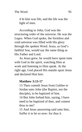4 In him was life; and the life was the light of men.

According to John, God was the structuring order of the universe. He was the *Logos*. When God spoke, the formless and void universe was filled with His glory through the spoken Word. Jesus, as God's faithful Son, would say the same thing as His Father and Lord.

As Jesus grew, he would have spent time with God in the spirit, watching Him at work and listening to Him speak. At the right age, God placed His mantle upon Jesus and declared Him heir.

#### **Matthew 3:13-17**

13 Then cometh Jesus from Galilee to Jordan unto John (the Baptist, not the disciple), to be baptized of him.

14 But John forbad him, saying, I have need to be baptized of thee, and comest thou to me?

15 And Jesus answering said unto him, Suffer it to be so now: for thus it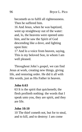becometh us to fulfil all righteousness. Then he suffered him.

16 And Jesus, when he was baptized, went up straightway out of the water: and, lo, the heavens were opened unto him, and he saw the Spirit of God descending like a dove, and lighting upon him:

17 And lo a voice from heaven, saying, This is my beloved Son, in whom I am well pleased.

Throughout John's gospel, we can find Jesus at work, creating new things, giving life, and restoring order. He did it all with His words, just as His Father in heaven.

#### **John 6:63**

63 It is the spirit that quickeneth; the flesh profiteth nothing: the words that I speak unto you, they are spirit, and they are life.

#### **John 10:10**

10 The thief cometh not, but for to steal, and to kill, and to destroy: I am come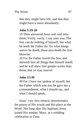that they might have life, and that they might have it more abundantly.

# **John 5:19-20**

19 Then answered Jesus and said unto them, Verily, verily, I say unto you, The Son can do nothing of himself, but what he seeth the Father do: for what things soever he doeth, these also doeth the Son likewise.

20 For the Father loveth the Son, and sheweth him all things that himself doeth: and he will shew him greater works than these, that ye may marvel.

# **John 12:49**

49 For I have not spoken of myself; but the Father which sent me, he gave me a commandment, what I should say, and what I should speak.

Jesus' very first miracle demonstrates the power of His words and His place as the Word. Not long after His baptism, Jesus joined His mother, Mary, at a wedding celebration in Cana.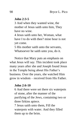#### **John 2:3-5**

3 And when they wanted wine, the mother of Jesus saith unto him, They have no wine.

4 Jesus saith unto her, Woman, what have I to do with thee? mine hour is not yet come.

5 His mother saith unto the servants, Whatsoever he saith unto you, do it.

Notice that Mary puts an emphasis on what Jesus will *say*. This incident took place many years after she and Joseph found Jesus in the Temple being about His Father's business. Over the years, she watched Him grow in wisdom – received from His Father.

#### **John 2:6-10**

6 And there were set there six waterpots of stone, after the manner of the purifying of the Jews, containing two or three firkins apiece.

7 Jesus saith unto them, Fill the waterpots with water. And they filled them up to the brim.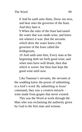8 And he saith unto them, Draw out now, and bear unto the governor of the feast. And they bare it.

9 When the ruler of the feast had tasted the water that was made wine, and knew not whence it was: (but the servants which drew the water knew;) the governor of the feast called the bridegroom,

10 And saith unto him, Every man at the beginning doth set forth good wine; and when men have well drunk, then that which is worse: but thou hast kept the good wine until now.

Like Naaman's servants, the servants at the wedding knew the power of submitting to a lord's word. By submitting to Jesus' command, they saw a creative miracle – wine made from grapes that never existed.

This was the Word at work through the Man who was reclaiming the authority given by God to the first man and woman.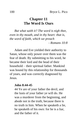# **Chapter 11 The Word Is Ours**

*But what saith it? The word is nigh thee, even in thy mouth, and in thy heart: that is, the word of faith, which we preach - Romans 10:8*

Adam and Eve yielded their authority to Satan, whose only power over them was the fear of death. By submitting to his word, he became their lord and the head of their household – their spiritual father. Mankind was bound by this relationship for thousands of years, and was correctly diagnosed by Jesus.

#### **John 8:44-45**

44 Ye are of your father the devil, and the lusts of your father ye will do. He was a murderer from the beginning, and abode not in the truth, because there is no truth in him. When he speaketh a lie, he speaketh of his own: for he is a liar, and the father of it.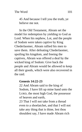45 And because I tell you the truth, ye believe me not.

In the Old Testament, Abram set the model for redemption by yielding to God as Lord. When his nephew, Lot, and the people of Sodom were taken captive by King Chederlaomer, Abram rallied his men to save them. After defeating Chederlaomer, spoiling his kingdom, and freeing the captives, Abram was offered a deal by the wicked king of Sodom: Give back the people and Abram would be allowed to keep all their goods, which were also recovered in the raid.

### **Genesis 14:22-23**

22 And Abram said to the king of Sodom, I have lift up mine hand unto the LORD, the most high God, the possessor of heaven and earth,

23 That I will not take from a thread even to a shoelatchet, and that I will not take any thing that is thine, lest thou shouldest say, I have made Abram rich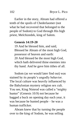Earlier in the story, Abram had offered a tenth of the spoils of Chederlaomer (not what he had recovered that belonged to the people of Sodom) to God through His high priest, Melchizedek, king of Salem.

#### **Genesis 14:19-20**

19 And he blessed him, and said, Blessed be Abram of the most high God, possessor of heaven and earth: 20 And blessed be the most high God, which hath delivered thine enemies into thy hand. And he gave him tithes of all.

Sodom (as we would later find out) was stained by its people's ungodly behavior. The local culture was heavily influenced by the Babylonian mystery religion sex cult. You see, King Nimrod was called a "mighty hunter" (Genesis 10:9) not because he bagged a buck on opening day each year, it was because he hunted people – he was a human trafficker.

Abram knew that by turning the people over to the king of Sodom, he was selling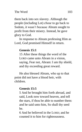them back into sex slavery. Although the people (including Lot) *chose* to go back to Sodom, it wasn't because Abram sought to profit from their misery. Instead, he gave glory to God.

In response to Abram professing Him as Lord, God promised Himself in return.

# **Genesis 15:1**

15 After these things the word of the LORD came unto Abram in a vision, saying, Fear not, Abram: I am thy shield, and thy exceeding great reward.

He also blessed Abram, who up to that point did not have a blood heir, with children.

# **Genesis 15:5**

5 And he brought him forth abroad, and said, Look now toward heaven, and tell the stars, if thou be able to number them: and he said unto him, So shall thy seed be.

6 And he believed in the LORD; and he counted it to him for righteousness.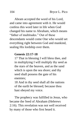Abram accepted the word of his Lord, and came into agreement with it. He would confess this word later in life when God changed his name to Abraham, which means "father of multitudes." Out of these descendants would come One who would set everything right between God and mankind, sealing His lordship over them.

## **Genesis 22:17-18**

17 That in blessing I will bless thee, and in multiplying I will multiply thy seed as the stars of the heaven, and as the sand which is upon the sea shore; and thy seed shall possess the gate of his enemies;

18 And in thy seed shall all the nations of the earth be blessed; because thou hast obeyed my voice.

The prophecy was fulfilled in Jesus, who became the Seed of Abraham (Hebrews 2:16). This revelation was not well received by many of those who first heard it.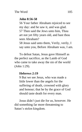# **John 8:56-58**

56 Your father Abraham rejoiced to see my day: and he saw it, and was glad. 57 Then said the Jews unto him, Thou art not yet fifty years old, and hast thou seen Abraham?

58 Jesus said unto them, Verily, verily, I say unto you, Before Abraham was, I am.

To defeat Satan, Jesus gave Himself as the perfect sacrifice, as the Lamb of God who came to take away the sin of the world (John 1:29).

# **Hebrews 2:19**

9 But we see Jesus, who was made a little lower than the angels for the suffering of death, crowned with glory and honour; that he by the grace of God should taste death for every man.

Jesus didn't just die for us, however. He did something far more threatening to Satan's stolen kingdom.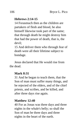## **Hebrews 2:14-15**

14 Forasmuch then as the children are partakers of flesh and blood, he also himself likewise took part of the same; that through death he might destroy him that had the power of death, that is, the devil;

15 And deliver them who through fear of death were all their lifetime subject to bondage.

Jesus declared that He would rise from the dead.

#### **Mark 8:31**

31 And he began to teach them, that the Son of man must suffer many things, and be rejected of the elders, and of the chief priests, and scribes, and be killed, and after three days rise again.

#### **Matthew 12:40**

40 For as Jonas was three days and three nights in the whale's belly; so shall the Son of man be three days and three nights in the heart of the earth.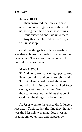## **John 2:18-19**

18 Then answered the Jews and said unto him, What sign shewest thou unto us, seeing that thou doest these things? 19 Jesus answered and said unto them, Destroy this temple, and in three days I will raise it up.

Of all the things Jesus did on earth, it was these claims that made His enemies the most angry. They even troubled one of His faithful disciples, Peter.

## **Mark 8:32-33**

32 And he spake that saying openly. And Peter took him, and began to rebuke him. 33 But when he had turned about and looked on his disciples, he rebuked Peter, saying, Get thee behind me, Satan: for thou savourest not the things that be of God, but the things that be of men.

As Jesus went to the cross, His followers lost heart. Their leader, the One they thought was the Messiah, was gone. Jesus was as dead as any other man and, apparently,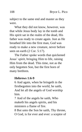subject to the same end and master as they were.

What they did not know, however, was that while Jesus body lay in the tomb and His spirit sat in the realm of the dead, His father was ready to create again. Just as He breathed life into the first man, God was ready to make a new creature, never before seen on earth (2 Cor. 5:17).

The Father spoke words that quickened Jesus' spirit, bringing Him to life, raising Him from the dead. This time, not as the only begotten Son, but the first born of many brethren.

#### **Hebrews 1:6-9**

6 And again, when he bringeth in the firstbegotten into the world, he saith, And let all the angels of God worship him.

7 And of the angels he saith, Who maketh his angels spirits, and his ministers a flame of fire.

8 But unto the Son he saith, Thy throne, O God, is for ever and ever: a sceptre of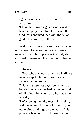righteousness is the sceptre of thy kingdom.

9 Thou hast loved righteousness, and hated iniquity; therefore God, even thy God, hath anointed thee with the oil of gladness above thy fellows.

With death's power broken, and Satan – as the head of mankind – crushed, Jesus assumed His rightful place as the lord, king, and head of mankind, the inheritor of heaven and earth.

# **Hebrews 1:3**

1 God, who at sundry times and in divers manners spake in time past unto the fathers by the prophets,

2 Hath in these last days spoken unto us by his Son, whom he hath appointed heir of all things, by whom also he made the worlds;

3 Who being the brightness of his glory, and the express image of his person, and upholding all things by the word of his power, when he had by himself purged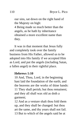our sins, sat down on the right hand of the Majesty on high:

4 Being made so much better than the angels, as he hath by inheritance obtained a more excellent name than they.

It was in that moment that Jesus fully and completely took over the family business from His Father, allowed us to be adopted into His family if we accepted Him as Lord, and put the angels (including Satan, a fallen angel) in their rightful place.

#### **Hebrews 1:10**

10 And, Thou, Lord, in the beginning hast laid the foundation of the earth; and the heavens are the works of thine hands: 11 They shall perish; but thou remainest; and they all shall wax old as doth a garment;

12 And as a vesture shalt thou fold them up, and they shall be changed: but thou art the same, and thy years shall not fail. 13 But to which of the angels said he at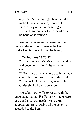any time, Sit on my right hand, until I make thine enemies thy footstool? 14 Are they not all ministering spirits, sent forth to minister for them who shall be heirs of salvation?

We, as believers in the Resurrection, serve under our Lord Jesus – the heir of God's Creation – and join His family.

## **1 Corinthians 15:20-22**

20 But now is Christ risen from the dead, and become the firstfruits of them that slept.

21 For since by man came death, by man came also the resurrection of the dead. 22 For as in Adam all die, even so in Christ shall all be made alive.

We submit our wills to Jesus, with the understanding that His Father will take care of us and meet our needs. We, as His adopted brethren, receive all the benefits accorded to the Son.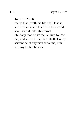## **John 12:25-26**

25 He that loveth his life shall lose it; and he that hateth his life in this world shall keep it unto life eternal. 26 If any man serve me, let him follow me; and where I am, there shall also my servant be: if any man serve me, him will my Father honour.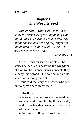# **Chapter 12 The Word Is Seed**

*And he said, "Unto you it is given to know the mysteries of the kingdom of God: but to others in parables; that seeing they might not see, and hearing they might not understand. Now the parable is this: The seed is the word of God."*

*- Luke 8:10-11*

Often, Jesus taught in parables. These stories helped Jesus describe the Kingdom of God to His listeners using concepts they already understood. One particular parable stands out among the rest.

Jesus told the story of a sower who went out to spread seed in his field.

## **Luke 8:5-8**

5 A sower went out to sow his seed: and as he sowed, some fell by the way side; and it was trodden down, and the fowls of the air devoured it.

6 And some fell upon a rock; and as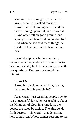soon as it was sprung up, it withered away, because it lacked moisture. 7 And some fell among thorns; and the thorns sprang up with it, and choked it. 8 And other fell on good ground, and sprang up, and bare fruit an hundredfold. And when he had said these things, he cried, He that hath ears to hear, let him hear.

Jesus' disciples, who have unfairly received a bad reputation for being slow to catch on, usually let His parables go by with few questions. But this one caught their interest.

#### **Luke 8:9**

9 And his disciples asked him, saying, What might this parable be?

Jesus wasn't just teaching people how to run a successful farm, he was teaching about the Kingdom of God. In a kingdom, the people are ruled by a king. The king sends forth decrees – his word – that determine how things run. Whole armies respond to the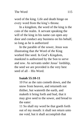word of the king. Life and death hinge on every word from the king's throne.

In a kingdom, the word of the king is the coin of the realm. A servant speaking the will of the king in his name can open any door and conduct any business on his behalf, so long as he is authorized

In the parable of the sower, Jesus was illustrating that *the* Word of *the* King worked like seed. In God's Kingdom, mankind is authorized by the Son to serve and sow. As servants under Jesus' lordship, the seed we are provided is the very best seed of all – His Word.

## **Isaiah 55:10-11**

10 For as the rain cometh down, and the snow from heaven, and returneth not thither, but watereth the earth, and maketh it bring forth and bud, that it may give seed to the sower, and bread to the eater:

11 So shall my word be that goeth forth out of my mouth: it shall not return unto me void, but it shall accomplish that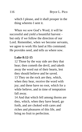which I please, and it shall prosper in the thing whereto I sent it.

When we sow God's Word, it will be successful and yield a bountiful harvest – but only if we follow the direction of our Lord. Remember, when we become servants, we agree to work His land at His command. He provides seed, and tells us where sow.

## **Luke 8:12-15**

12 Those by the way side are they that hear; then cometh the devil, and taketh away the word out of their hearts, lest they should believe and be saved. 13 They on the rock are they, which, when they hear, receive the word with joy; and these have no root, which for a while believe, and in time of temptation fall away.

14 And that which fell among thorns are they, which, when they have heard, go forth, and are choked with cares and riches and pleasures of this life, and bring no fruit to perfection.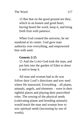15 But that on the good ground are they, which in an honest and good heart, having heard the word, keep it, and bring forth fruit with patience.

When God created the universe, he set mankind at its center. God gave man authority over everything, and empowered him with seed.

## **Genesis 2:15**

15 And the LORD God took the man, and put him into the garden of Eden to dress it and to keep it.

All man and woman had to do was follow their Lord's directions and sow seed where He instructed. Everything – all plants, animals, angels, and elements – were in their rightful places and playing their prescribed roles. The sowing of the physical seeds (cultivating plants and breeding animals) would teach the man and woman how to sow spiritual seeds (increasing by use of words).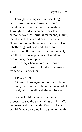Through sowing seed and speaking God's Word, man and woman would maintain God's order over His creation. Through their disobedience, they lost authority over the spiritual realm and, in turn, the physical. The world descended into chaos – in line with Satan's desire for all-out rebellion against God and His design. This may explain the earth's current biodiversity and the seeming appearance of random evolutionary development.

However, when we receive Jesus as Lord, we are restored to God's order away from Adam's disorder.

#### **1 Peter 1:23**

23 Being born again, not of corruptible seed, but of incorruptible, by the word of God, which liveth and abideth forever.

We, as faithful servants, are now expected to say the same things as Him. We are instructed to speak the Word as Jesus would. When we come into agreement with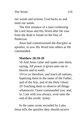our words and actions, God backs us and meet our needs.

The first instance of a man confessing the Lord Jesus and His Word after He rose from the dead is found on the Day of Pentecost.

Jesus had commissioned the disciples as apostles, to sow His Word into others as He commanded.

## **Matthew 28:18-20**

18 And Jesus came and spake unto them, saying, All power is given unto me in heaven and in earth.

19 Go ye therefore, and teach all nations, baptizing them in the name of the Father, and of the Son, and of the Holy Ghost: 20 Teaching them to observe all things whatsoever I have commanded you: and, lo, I am with you always, even unto the end of the world. Amen.

In the same scene recorded by Luke, Jesus tells the apostles they should receive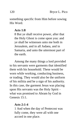something specific from Him before sowing His Word.

#### **Acts 1:8**

8 But ye shall receive power, after that the Holy Ghost is come upon you: and ye shall be witnesses unto me both in Jerusalem, and in all Judaea, and in Samaria, and unto the uttermost part of the earth.

Among the many things a lord provided to his servants were garments that identified them with his household. These would be worn while working, conducting business, or trading. They would also be the uniform of his militia and be a sign of his authority. In this case, the garment Jesus was placing upon His servants was the Holy Spirit – what was promised to Abram by God in Genesis 15:1.

#### **Acts 2:1-4**

1 And when the day of Pentecost was fully come, they were all with one accord in one place.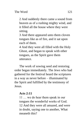2 And suddenly there came a sound from heaven as of a rushing mighty wind, and it filled all the house where they were sitting.

3 And there appeared unto them cloven tongues like as of fire, and it sat upon each of them.

4 And they were all filled with the Holy Ghost, and began to speak with other tongues, as the Spirit gave them utterance.

The work of sowing seed and restoring order began immediately. The Jews who had gathered for the festival heard the scriptures in a way as never before – illuminated by the Spirit and fulfilled by the testimony of Jesus.

## **Acts 2:11**

11 … we do hear them speak in our tongues the wonderful works of God. 12 And they were all amazed, and were in doubt, saying one to another, What meaneth this?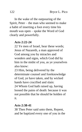In the wake of the outpouring of the Spirit, Peter – the man who seemed to make a habit of inserting a foot every time his mouth was open – spoke the Word of God clearly and powerfully.

## **Acts 2:22-24**

22 Ye men of Israel, hear these words; Jesus of Nazareth, a man approved of God among you by miracles and wonders and signs, which God did by him in the midst of you, as ye yourselves also know:

23 Him, being delivered by the determinate counsel and foreknowledge of God, ye have taken, and by wicked hands have crucified and slain: 24 Whom God hath raised up, having loosed the pains of death: because it was not possible that he should be holden of

# it.

## **Acts 2:38-41**

38 Then Peter said unto them, Repent, and be baptized every one of you in the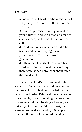name of Jesus Christ for the remission of sins, and ye shall receive the gift of the Holy Ghost.

39 For the promise is unto you, and to your children, and to all that are afar off, even as many as the Lord our God shall call.

40 And with many other words did he testify and exhort, saying, Save yourselves from this untoward generation.

41 Then they that gladly received his word were baptized: and the same day there were added unto them about three thousand souls.

Just as mankind's rebellion under the lordship of Satan set the world on a course for chaos, Jesus' obedience started it on a path toward order. Peter and the apostles, as His servants, began spreading the Word as sowers in a field, cultivating a harvest, and restoring God's order. At Pentecost, they were led to good soil, and 3,000 people received the seed of the Word that day.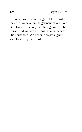When we receive the gift of the Spirit as they did, we take on the garment of our Lord. God lives inside, on, and through us, by His Spirit. And we live in Jesus, as members of His household. We become sowers, given seed to sow by our Lord.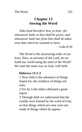# **Chapter 13 Sowing the Word**

*Take heed therefore how ye hear: for whosoever hath, to him shall be given; and whosoever hath not, from him shall be taken even that which he seemeth to have. - Luke 8:18*

The Word is the structuring order of our lives. How, as servants of the Lord, do we build our world using the seed of the Word? We start the same way as God, with faith.

## **Hebrews 11:1-3**

1 Now faith is the substance of things hoped for, the evidence of things not seen.

2 For by it the elders obtained a good report.

3 Through faith we understand that the worlds were framed by the word of God, so that things which are seen were not made of things which do appear.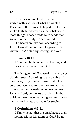In the beginning, God – the *Logos* – started with a vision of what he wanted. These were the things He hoped for. He then spoke faith-filled words as the substance of those things. Those words were seeds that grew into the reality we see around us.

Our hearts are like soil, according to Jesus. How do we get faith to grow from within us? We start by sowing the Word.

#### **Romans 10:17**

17 So then faith cometh by hearing, and hearing by the word of God.

The Kingdom of God works like a sower planting seed. According to the parable of the sower, to get the best results with His best seed, we need to sow into ground free from stones and weeds. When we confess Jesus as Lord, our hearts are reborn in the Spirit and we move into Kingdom territory – the best real estate available for sowing.

#### **1 Corinthians 6:9-11**

9 Know ye not that the unrighteous shall not inherit the kingdom of God? Be not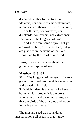deceived: neither fornicators, nor idolaters, nor adulterers, nor effeminate, nor abusers of themselves with mankind, 10 Nor thieves, nor covetous, nor drunkards, nor revilers, nor extortioners, shall inherit the kingdom of God. 11 And such were some of you: but ye are washed, but ye are sanctified, but ye are justified in the name of the Lord Jesus, and by the Spirit of our God.

Jesus, in another parable about the Kingdom, again spoke of seed.

### **Matthew 13:31-32**

31 … The kingdom of heaven is like to a grain of mustard seed, which a man took, and sowed in his field:

32 Which indeed is the least of all seeds: but when it is grown, it is the greatest among herbs, and becometh a tree, so that the birds of the air come and lodge in the branches thereof.

The mustard seed was considered unusual among all seeds in that it grew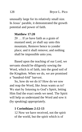unusually large for its relatively small size. In Jesus' parable, it demonstrated the growth potential and power of faith.

#### **Matthew 17:20**

20 … If ye have faith as a grain of mustard seed, ye shall say unto this mountain, Remove hence to yonder place; and it shall remove; and nothing shall be impossible unto you.

Based upon the teaching of our Lord, we servants should be diligently sowing the Word, which is of faith, into the good soil of the Kingdom. When we do, we are promised a "hundred-fold" harvest.

So, how do we do it? How do we sow and reap the Word, like Jesus wants us to? We start by listening to God's Spirit, letting Him find the exact seeds we need. The Spirit will help us understand the Word and sow it (by speaking) appropriately.

#### **1 Corinthians 2:12-13**

12 Now we have received, not the spirit of the world, but the spirit which is of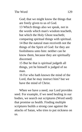God; that we might know the things that are freely given to us of God.

13 Which things also we speak, not in the words which man's wisdom teacheth, but which the Holy Ghost teacheth; comparing spiritual things with spiritual. 14 But the natural man receiveth not the things of the Spirit of God: for they are foolishness unto him: neither can he know them, because they are spiritually discerned.

15 But he that is spiritual judgeth all things, yet he himself is judged of no man.

16 For who hath known the mind of the Lord, that he may instruct him? but we have the mind of Christ.

When we have a need, our Lord provides seed. For example, if we need healing in our bodies, we search out scriptures (Word seed) that promise us health. Finding multiple scriptures builds a strong case against the attacks of Satan, who tries to put sickness on us.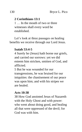## **2 Corinthians 13:1**

1 … In the mouth of two or three witnesses shall every word be established.

Let's look at three passages on healing benefits we receive through our Lord Jesus.

#### **Isaiah 53:4-5**

4 Surely he (Jesus) hath borne our griefs, and carried our sorrows: yet we did esteem him stricken, smitten of God, and afflicted.

5 But he was wounded for our transgressions, he was bruised for our iniquities: the chastisement of our peace was upon him; and with his stripes we are healed.

#### **Acts 10:38**

38 How God anointed Jesus of Nazareth with the Holy Ghost and with power: who went about doing good, and healing all that were oppressed of the devil; for God was with him.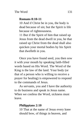# **Romans 8:10-11**

10 And if Christ be in you, the body is dead because of sin; but the Spirit is life because of righteousness.

11 But if the Spirit of him that raised up Jesus from the dead dwell in you, he that raised up Christ from the dead shall also quicken your mortal bodies by his Spirit that dwelleth in you.

Once you have found seed, you then sow it with your mouth by speaking faith-filled words based on His Word. The Word of the King is the law of the land. Your body (or that of a person who is willing to receive a prayer for healing) is empowered to respond to the commands of Jesus.

As servants, you and I have the authority to do business and speak in Jesus name. When we confess the Word, sickness must leave.

## **Philippians 2:10**

10 That at the name of Jesus every knee should bow, of things in heaven, and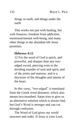things in earth, and things under the earth

This works not just with healing, but with finances, freedom from addiction, emotional/mental well-being, and many other things in the abundant life Jesus promises.

### **Hebrews 4:12**

12 For the word of God is quick, and powerful, and sharper than any twoedged sword, piercing even to the dividing asunder of soul and spirit, and of the joints and marrow, and is a discerner of the thoughts and intents of the heart.

In this verse, "two-edged" is translated from the Greek word *dístomos*, which also means two-mouthed. Satan tries to give us an alternative solution which is always bad, but God's Word is stronger and can cut through confusion.

The Word of God gives our world structure and order. If Jesus is your Lord,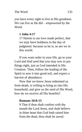you have every right to live in His goodness. We can live as He did – empowered by the Word.

## **1 John 4:17**

17 Herein is our love made perfect, that we may have boldness in the day of judgment: because as he is, so are we in this world.

If you want order in your life, go to your Lord and find seed that you may sow to put things right, just as God intended in His Creation. Then, follow the leading of the Spirit to sow it into good soil, and expect a harvest of abundance.

Now that we know Jesus redeemed us from death, is willing to bring us into His household, and give us the seed of His Word, how do we receive all His benefits?

## **Romans 10:8-13**

9 That if thou shalt confess with thy mouth the Lord Jesus, and shalt believe in thine heart that God hath raised him from the dead, thou shalt be saved.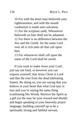10 For with the heart man believeth unto righteousness; and with the mouth confession is made unto salvation. 11 For the scripture saith, Whosoever believeth on him shall not be ashamed. 12 For there is no difference between the Jew and the Greek: for the same Lord over all is rich unto all that call upon him.

13 For whosoever shall call upon the name of the Lord shall be saved.

If you want to make Jesus your Lord, just say out loud, or however you can express yourself, that Jesus Christ is Lord and that He rose from the dead (defeating Satan). By doing so, you are saying that you believe in your heart that what God says is true and you're saying the same thing (confessing His Word). Receive the Spirit as a gift (so He may be your reward and shield) and begin speaking in your heavenly prayer language, building yourself up to be a spiritually strong and faithful servant.